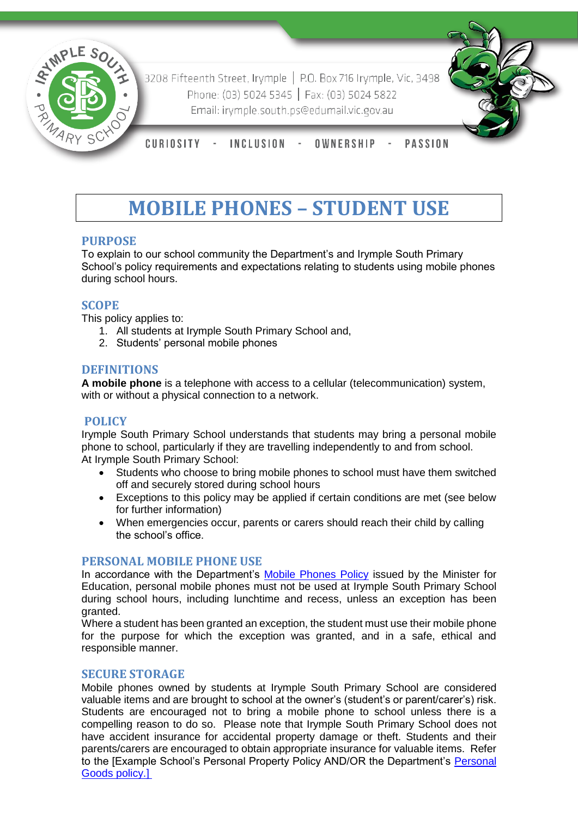

3208 Fifteenth Street, Irymple | P.O. Box 716 Irymple, Vic, 3498 Phone: (03) 5024 5345 | Fax: (03) 5024 5822 Email: irymple.south.ps@edumail.vic.gov.au



CURIOSITY -INCLUSION -OWNERSHIP **PASSION** 

# **MOBILE PHONES – STUDENT USE**

## **PURPOSE**

To explain to our school community the Department's and Irymple South Primary School's policy requirements and expectations relating to students using mobile phones during school hours.

## **SCOPE**

This policy applies to:

- 1. All students at Irymple South Primary School and,
- 2. Students' personal mobile phones

## **DEFINITIONS**

**A mobile phone** is a telephone with access to a cellular (telecommunication) system, with or without a physical connection to a network.

### **POLICY**

Irymple South Primary School understands that students may bring a personal mobile phone to school, particularly if they are travelling independently to and from school. At Irymple South Primary School:

- Students who choose to bring mobile phones to school must have them switched off and securely stored during school hours
- Exceptions to this policy may be applied if certain conditions are met (see below for further information)
- When emergencies occur, parents or carers should reach their child by calling the school's office.

### **PERSONAL MOBILE PHONE USE**

In accordance with the Department's [Mobile Phones Policy](https://www.education.vic.gov.au/school/principals/spag/safety/Pages/mobilephones.aspx) issued by the Minister for Education, personal mobile phones must not be used at Irymple South Primary School during school hours, including lunchtime and recess, unless an exception has been granted.

Where a student has been granted an exception, the student must use their mobile phone for the purpose for which the exception was granted, and in a safe, ethical and responsible manner.

### **SECURE STORAGE**

Mobile phones owned by students at Irymple South Primary School are considered valuable items and are brought to school at the owner's (student's or parent/carer's) risk. Students are encouraged not to bring a mobile phone to school unless there is a compelling reason to do so. Please note that Irymple South Primary School does not have accident insurance for accidental property damage or theft. Students and their parents/carers are encouraged to obtain appropriate insurance for valuable items. Refer to the [Example School's Personal Property Policy AND/OR the Department's [Personal](https://www.education.vic.gov.au/school/principals/spag/governance/pages/personalgoods.aspx)  [Goods](https://www.education.vic.gov.au/school/principals/spag/governance/pages/personalgoods.aspx) policy.]